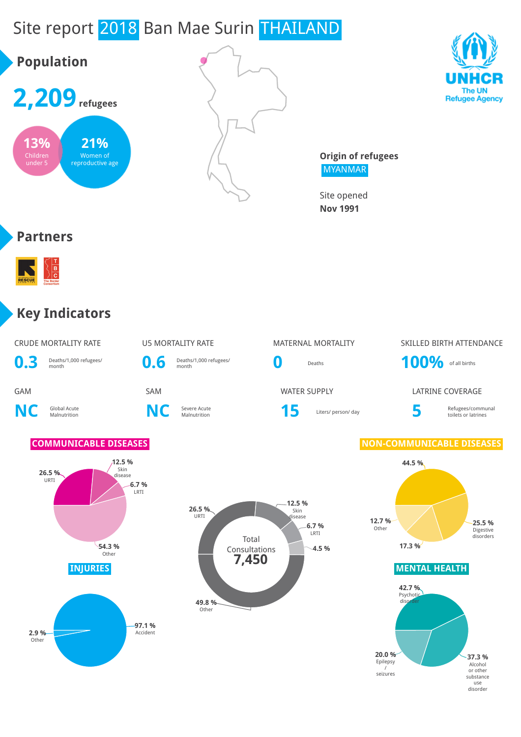# Site report 2018 Ban Mae Surin THAILAND





**Origin of refugees** MYANMAR

Site opened **Nov 1991**

#### **Partners**



#### **Key Indicators**

| <b>CRUDE MORTALITY RATE</b>                | U5 MORTALITY RATE          |
|--------------------------------------------|----------------------------|
| <b>0.3</b> Deaths/1,000 refugees/<br>month | D.6 Deaths/1,000 refugees/ |

**NC** Global Acute



**NC** Severe Acute



# U5 MORTALITY RATE MATERNAL MORTALITY SKILLED BIRTH ATTENDANCE

**GAM** SAM SAM SAM WATER SUPPLY LATRINE COVERAGE

Severe Acute<br>Malnutrition **15** Liters/ person/ day

#### Refugees/communal toilets or latrines

#### **COMMUNICABLE DISEASES NON-COMMUNICABLE DISEASES**







use disorder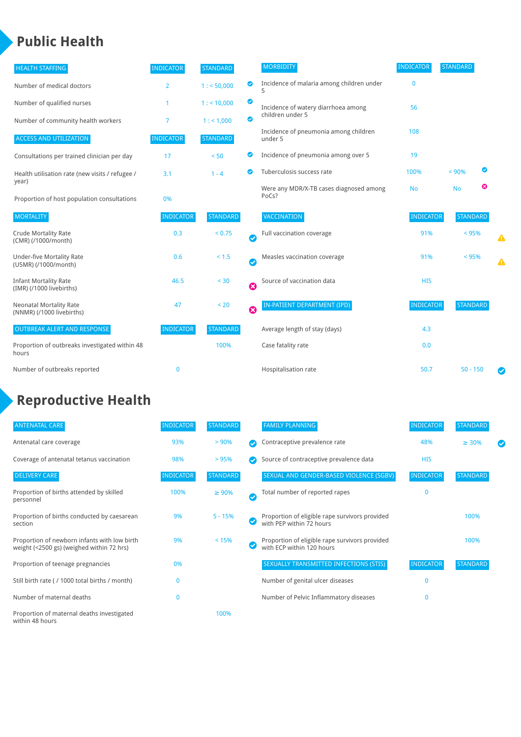## **Public Health**

| <b>HEALTH STAFFING</b>                                      | <b>INDICATOR</b> | <b>STANDARD</b> |                       | <b>MORBIDITY</b>                                 | <b>INDICATOR</b> | <b>STANDARD</b> |           |   |
|-------------------------------------------------------------|------------------|-----------------|-----------------------|--------------------------------------------------|------------------|-----------------|-----------|---|
| Number of medical doctors                                   | $\overline{2}$   | 1: 50,000       | ◉                     | Incidence of malaria among children under        | 0                |                 |           |   |
| Number of qualified nurses                                  |                  | 1:10,000        | $\bullet$             | Incidence of watery diarrhoea among              | 56               |                 |           |   |
| Number of community health workers                          | 7                | 1: 1,000        | $\bullet$             | children under 5                                 |                  |                 |           |   |
| <b>ACCESS AND UTILIZATION</b>                               | <b>INDICATOR</b> | <b>STANDARD</b> |                       | Incidence of pneumonia among children<br>under 5 | 108              |                 |           |   |
| Consultations per trained clinician per day                 | 17               | < 50            | Ø                     | Incidence of pneumonia among over 5              | 19               |                 |           |   |
| Health utilisation rate (new visits / refugee /             | 3.1              | $1 - 4$         | $\bullet$             | Tuberculosis success rate                        | 100%             | < 90%           | $\bullet$ |   |
| year)<br>Proportion of host population consultations        | 0%               |                 |                       | Were any MDR/X-TB cases diagnosed among<br>PoCs? | <b>No</b>        | <b>No</b>       | ☺         |   |
| <b>MORTALITY</b>                                            | <b>INDICATOR</b> | <b>STANDARD</b> |                       | <b>VACCINATION</b>                               | <b>INDICATOR</b> | <b>STANDARD</b> |           |   |
| <b>Crude Mortality Rate</b><br>(CMR) (/1000/month)          | 0.3              | < 0.75          | Ø                     | Full vaccination coverage                        | 91%              | < 95%           |           | ▲ |
| <b>Under-five Mortality Rate</b><br>(U5MR) (/1000/month)    | 0.6              | $< 1.5$         | Ø                     | Measles vaccination coverage                     | 91%              | < 95%           |           | Δ |
| <b>Infant Mortality Rate</b><br>(IMR) (/1000 livebirths)    | 46.5             | < 30            | $\boldsymbol{\Omega}$ | Source of vaccination data                       | <b>HIS</b>       |                 |           |   |
| <b>Neonatal Mortality Rate</b><br>(NNMR) (/1000 livebirths) | 47               | < 20            | $\boldsymbol{\Omega}$ | IN-PATIENT DEPARTMENT (IPD)                      | <b>INDICATOR</b> | <b>STANDARD</b> |           |   |
| <b>OUTBREAK ALERT AND RESPONSE</b>                          | <b>INDICATOR</b> | <b>STANDARD</b> |                       | Average length of stay (days)                    | 4.3              |                 |           |   |
| Proportion of outbreaks investigated within 48<br>hours     |                  | 100%            |                       | Case fatality rate                               | 0.0              |                 |           |   |
| Number of outbreaks reported                                | $\bf{0}$         |                 |                       | Hospitalisation rate                             | 50.7             | $50 - 150$      |           | Ø |

# **Reproductive Health**

| <b>ANTENATAL CARE</b>                                                                     | <b>INDICATOR</b> | <b>STANDARD</b> | <b>FAMILY PLANNING</b>                                                      | <b>INDICATOR</b> | <b>STANDARD</b> |  |
|-------------------------------------------------------------------------------------------|------------------|-----------------|-----------------------------------------------------------------------------|------------------|-----------------|--|
| Antenatal care coverage                                                                   | 93%              | > 90%           | Contraceptive prevalence rate                                               | 48%              | $\geq 30\%$     |  |
| Coverage of antenatal tetanus vaccination                                                 | 98%              | >95%            | Source of contraceptive prevalence data                                     | <b>HIS</b>       |                 |  |
| <b>DELIVERY CARE</b>                                                                      | <b>INDICATOR</b> | <b>STANDARD</b> | SEXUAL AND GENDER-BASED VIOLENCE (SGBV)                                     | <b>INDICATOR</b> | <b>STANDARD</b> |  |
| Proportion of births attended by skilled<br>personnel                                     | 100%             | $\geq 90\%$     | Total number of reported rapes                                              | 0                |                 |  |
| Proportion of births conducted by caesarean<br>section                                    | 9%               | $5 - 15%$       | Proportion of eligible rape survivors provided<br>with PEP within 72 hours  |                  | 100%            |  |
| Proportion of newborn infants with low birth<br>weight (<2500 gs) (weighed within 72 hrs) | 9%               | < 15%           | Proportion of eligible rape survivors provided<br>with ECP within 120 hours |                  | 100%            |  |
| Proportion of teenage pregnancies                                                         | 0%               |                 | SEXUALLY TRANSMITTED INFECTIONS (STIS)                                      | <b>INDICATOR</b> | <b>STANDARD</b> |  |
| Still birth rate (/ 1000 total births / month)                                            |                  |                 | Number of genital ulcer diseases                                            | $\Omega$         |                 |  |
| Number of maternal deaths                                                                 | 0                |                 | Number of Pelvic Inflammatory diseases                                      | 0                |                 |  |
| Proportion of maternal deaths investigated<br>within 48 hours                             |                  | 100%            |                                                                             |                  |                 |  |